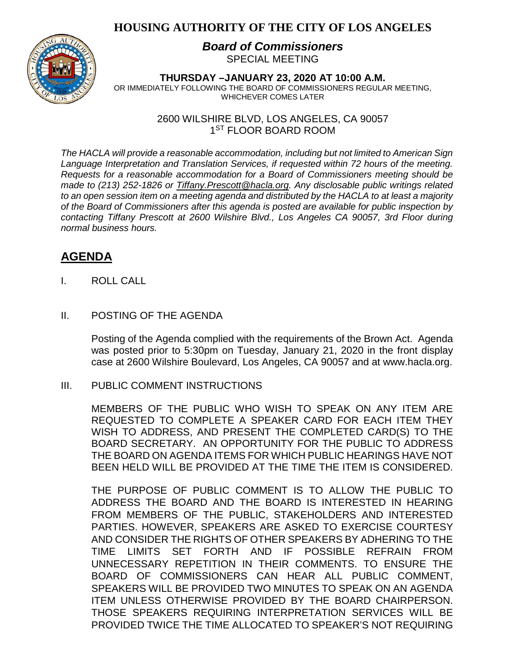## **HOUSING AUTHORITY OF THE CITY OF LOS ANGELES**



### *Board of Commissioners* SPECIAL MEETING

**THURSDAY –JANUARY 23, 2020 AT 10:00 A.M.** OR IMMEDIATELY FOLLOWING THE BOARD OF COMMISSIONERS REGULAR MEETING, WHICHEVER COMES LATER

> 2600 WILSHIRE BLVD, LOS ANGELES, CA 90057 1<sup>ST</sup> FLOOR BOARD ROOM

*The HACLA will provide a reasonable accommodation, including but not limited to American Sign Language Interpretation and Translation Services, if requested within 72 hours of the meeting. Requests for a reasonable accommodation for a Board of Commissioners meeting should be made to (213) 252-1826 or Tiffany.Prescott@hacla.org. Any disclosable public writings related to an open session item on a meeting agenda and distributed by the HACLA to at least a majority of the Board of Commissioners after this agenda is posted are available for public inspection by contacting Tiffany Prescott at 2600 Wilshire Blvd., Los Angeles CA 90057, 3rd Floor during normal business hours.*

# **AGENDA**

- I. ROLL CALL
- II. POSTING OF THE AGENDA

Posting of the Agenda complied with the requirements of the Brown Act. Agenda was posted prior to 5:30pm on Tuesday, January 21, 2020 in the front display case at 2600 Wilshire Boulevard, Los Angeles, CA 90057 and at [www.hacla.org.](http://www.hacla.org/)

III. PUBLIC COMMENT INSTRUCTIONS

MEMBERS OF THE PUBLIC WHO WISH TO SPEAK ON ANY ITEM ARE REQUESTED TO COMPLETE A SPEAKER CARD FOR EACH ITEM THEY WISH TO ADDRESS, AND PRESENT THE COMPLETED CARD(S) TO THE BOARD SECRETARY. AN OPPORTUNITY FOR THE PUBLIC TO ADDRESS THE BOARD ON AGENDA ITEMS FOR WHICH PUBLIC HEARINGS HAVE NOT BEEN HELD WILL BE PROVIDED AT THE TIME THE ITEM IS CONSIDERED.

THE PURPOSE OF PUBLIC COMMENT IS TO ALLOW THE PUBLIC TO ADDRESS THE BOARD AND THE BOARD IS INTERESTED IN HEARING FROM MEMBERS OF THE PUBLIC, STAKEHOLDERS AND INTERESTED PARTIES. HOWEVER, SPEAKERS ARE ASKED TO EXERCISE COURTESY AND CONSIDER THE RIGHTS OF OTHER SPEAKERS BY ADHERING TO THE TIME LIMITS SET FORTH AND IF POSSIBLE REFRAIN FROM UNNECESSARY REPETITION IN THEIR COMMENTS. TO ENSURE THE BOARD OF COMMISSIONERS CAN HEAR ALL PUBLIC COMMENT, SPEAKERS WILL BE PROVIDED TWO MINUTES TO SPEAK ON AN AGENDA ITEM UNLESS OTHERWISE PROVIDED BY THE BOARD CHAIRPERSON. THOSE SPEAKERS REQUIRING INTERPRETATION SERVICES WILL BE PROVIDED TWICE THE TIME ALLOCATED TO SPEAKER'S NOT REQUIRING